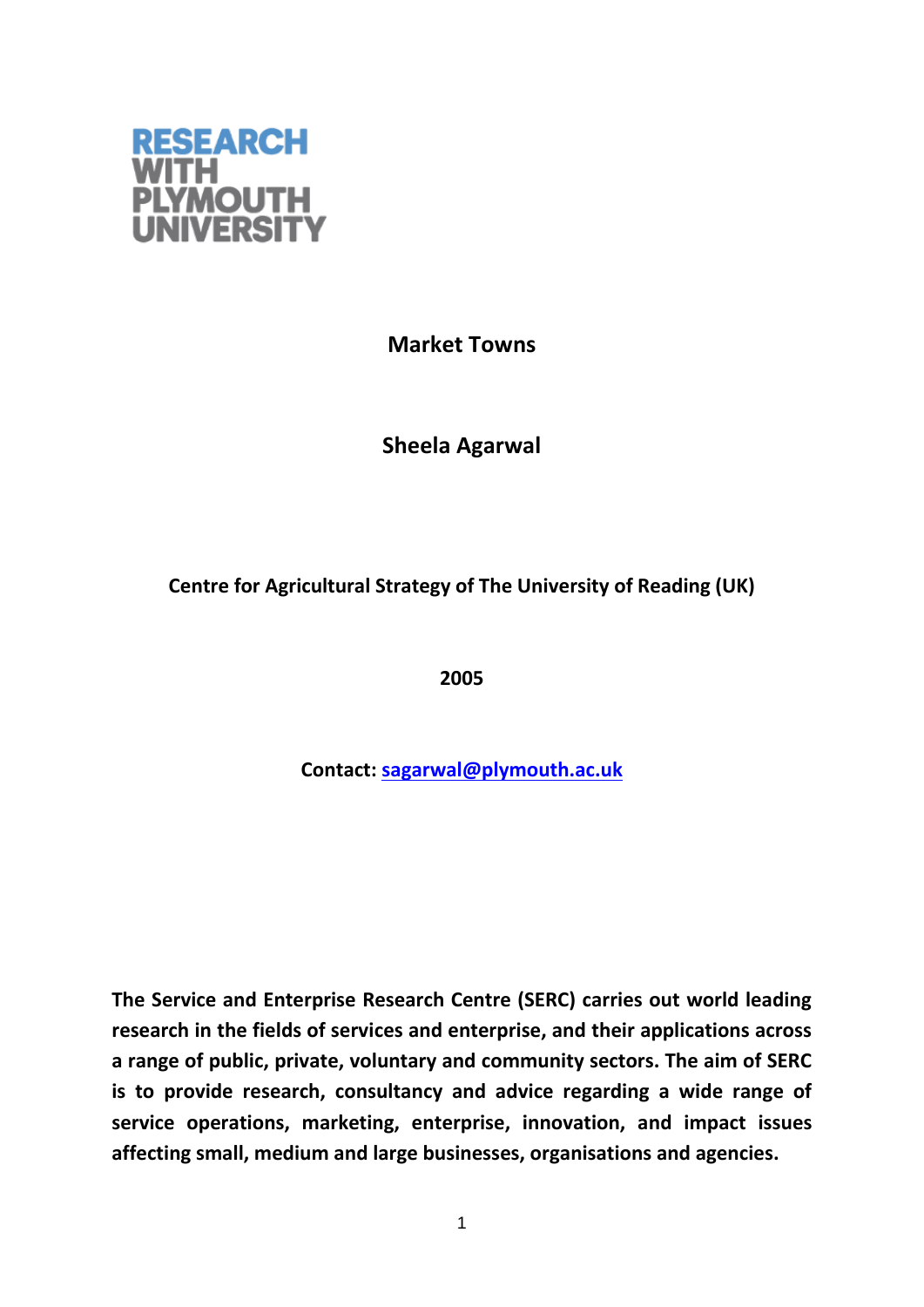

**Market Towns**

**Sheela Agarwal**

**Centre for Agricultural Strategy of The University of Reading (UK)**

**2005**

**Contact: [sagarwal@plymouth.ac.uk](mailto:sagarwal@plymouth.ac.uk)**

**The Service and Enterprise Research Centre (SERC) carries out world leading research in the fields of services and enterprise, and their applications across a range of public, private, voluntary and community sectors. The aim of SERC is to provide research, consultancy and advice regarding a wide range of service operations, marketing, enterprise, innovation, and impact issues affecting small, medium and large businesses, organisations and agencies.**

1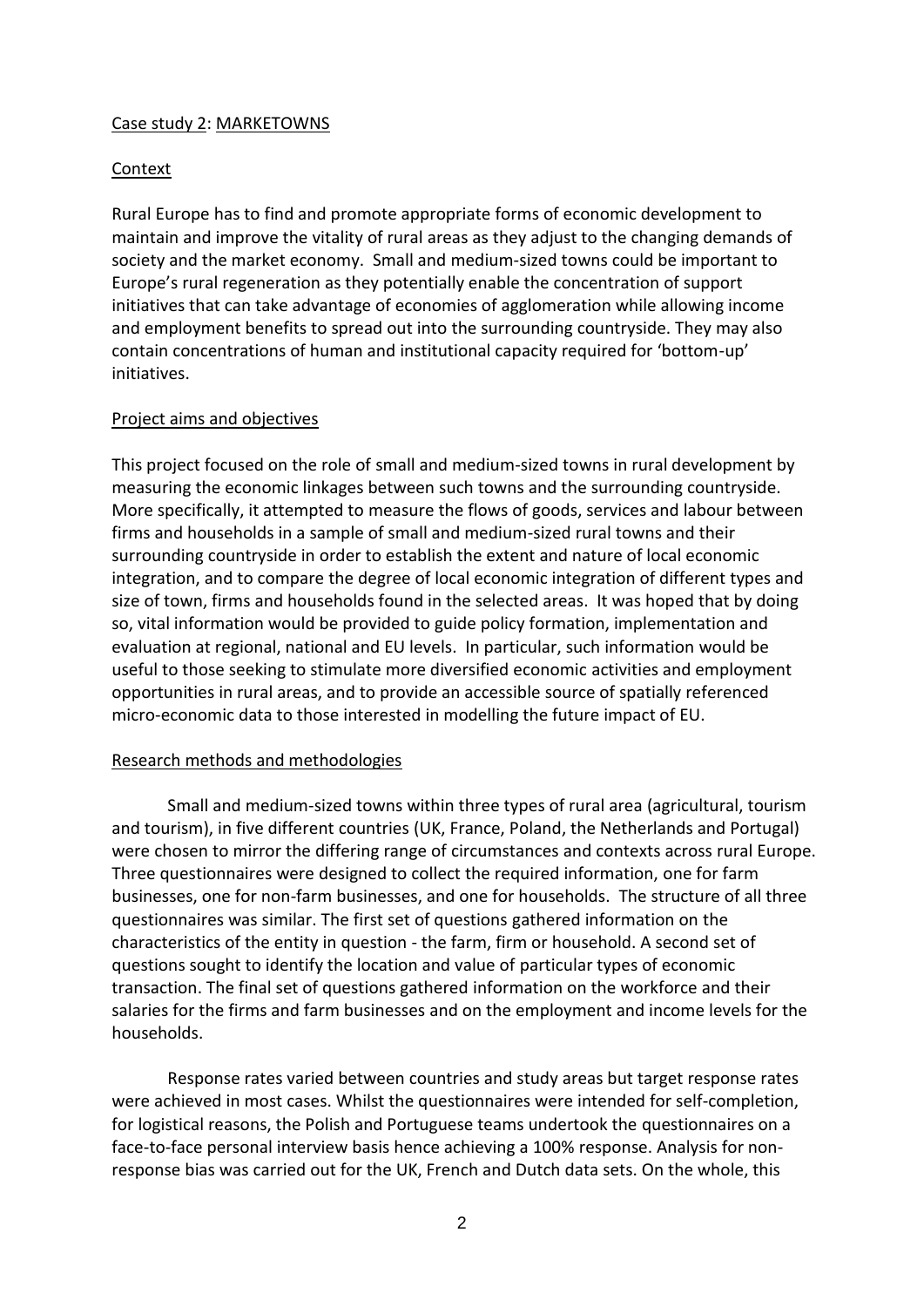## Case study 2: MARKETOWNS

### Context

Rural Europe has to find and promote appropriate forms of economic development to maintain and improve the vitality of rural areas as they adjust to the changing demands of society and the market economy. Small and medium-sized towns could be important to Europe's rural regeneration as they potentially enable the concentration of support initiatives that can take advantage of economies of agglomeration while allowing income and employment benefits to spread out into the surrounding countryside. They may also contain concentrations of human and institutional capacity required for 'bottom-up' initiatives.

### Project aims and objectives

This project focused on the role of small and medium-sized towns in rural development by measuring the economic linkages between such towns and the surrounding countryside. More specifically, it attempted to measure the flows of goods, services and labour between firms and households in a sample of small and medium-sized rural towns and their surrounding countryside in order to establish the extent and nature of local economic integration, and to compare the degree of local economic integration of different types and size of town, firms and households found in the selected areas. It was hoped that by doing so, vital information would be provided to guide policy formation, implementation and evaluation at regional, national and EU levels. In particular, such information would be useful to those seeking to stimulate more diversified economic activities and employment opportunities in rural areas, and to provide an accessible source of spatially referenced micro-economic data to those interested in modelling the future impact of EU.

### Research methods and methodologies

Small and medium-sized towns within three types of rural area (agricultural, tourism and tourism), in five different countries (UK, France, Poland, the Netherlands and Portugal) were chosen to mirror the differing range of circumstances and contexts across rural Europe. Three questionnaires were designed to collect the required information, one for farm businesses, one for non-farm businesses, and one for households. The structure of all three questionnaires was similar. The first set of questions gathered information on the characteristics of the entity in question - the farm, firm or household. A second set of questions sought to identify the location and value of particular types of economic transaction. The final set of questions gathered information on the workforce and their salaries for the firms and farm businesses and on the employment and income levels for the households.

Response rates varied between countries and study areas but target response rates were achieved in most cases. Whilst the questionnaires were intended for self-completion, for logistical reasons, the Polish and Portuguese teams undertook the questionnaires on a face-to-face personal interview basis hence achieving a 100% response. Analysis for nonresponse bias was carried out for the UK, French and Dutch data sets. On the whole, this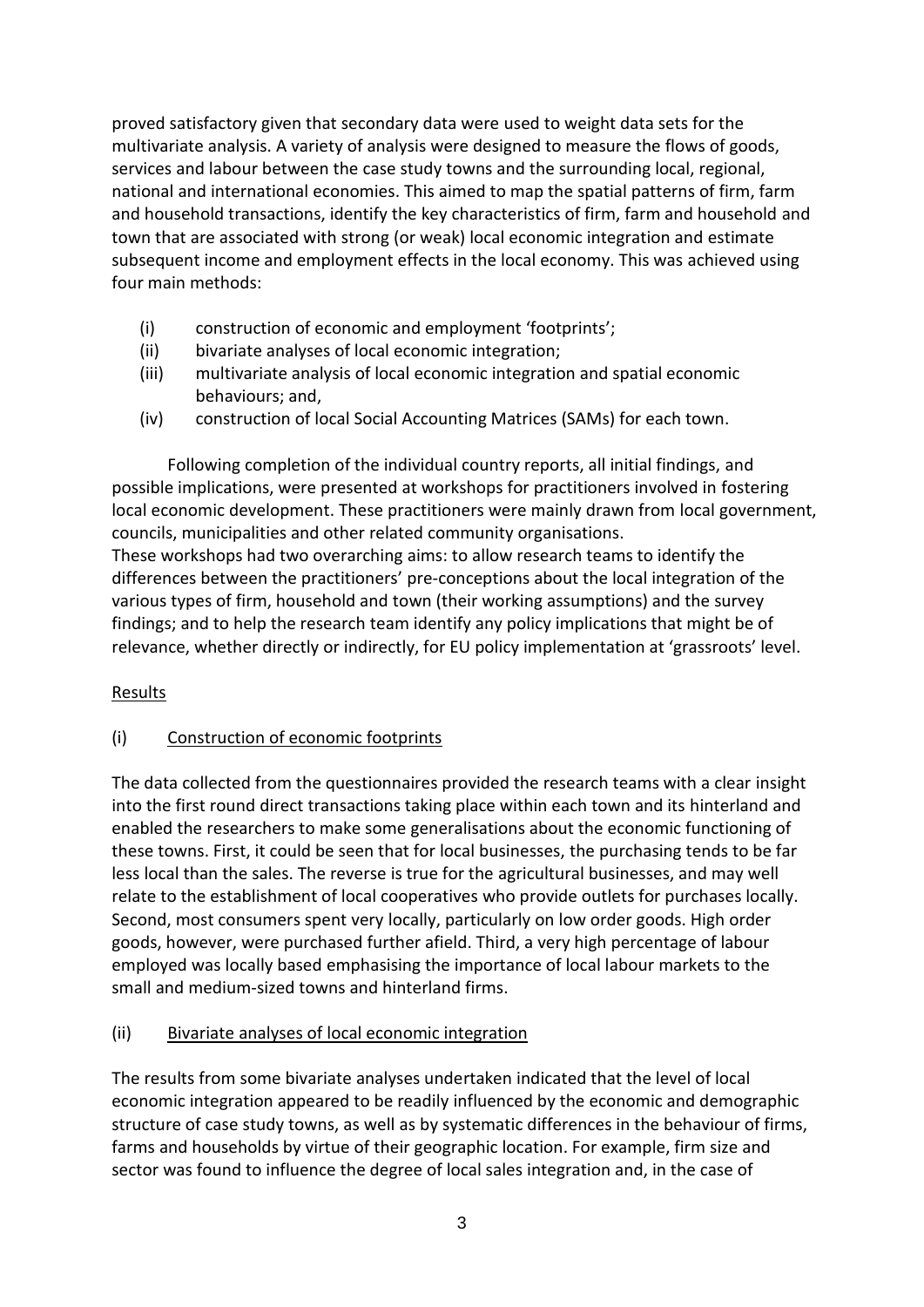proved satisfactory given that secondary data were used to weight data sets for the multivariate analysis. A variety of analysis were designed to measure the flows of goods, services and labour between the case study towns and the surrounding local, regional, national and international economies. This aimed to map the spatial patterns of firm, farm and household transactions, identify the key characteristics of firm, farm and household and town that are associated with strong (or weak) local economic integration and estimate subsequent income and employment effects in the local economy. This was achieved using four main methods:

- (i) construction of economic and employment 'footprints';
- (ii) bivariate analyses of local economic integration;
- (iii) multivariate analysis of local economic integration and spatial economic behaviours; and,
- (iv) construction of local Social Accounting Matrices (SAMs) for each town.

Following completion of the individual country reports, all initial findings, and possible implications, were presented at workshops for practitioners involved in fostering local economic development. These practitioners were mainly drawn from local government, councils, municipalities and other related community organisations.

These workshops had two overarching aims: to allow research teams to identify the differences between the practitioners' pre-conceptions about the local integration of the various types of firm, household and town (their working assumptions) and the survey findings; and to help the research team identify any policy implications that might be of relevance, whether directly or indirectly, for EU policy implementation at 'grassroots' level.

# Results

# (i) Construction of economic footprints

The data collected from the questionnaires provided the research teams with a clear insight into the first round direct transactions taking place within each town and its hinterland and enabled the researchers to make some generalisations about the economic functioning of these towns. First, it could be seen that for local businesses, the purchasing tends to be far less local than the sales. The reverse is true for the agricultural businesses, and may well relate to the establishment of local cooperatives who provide outlets for purchases locally. Second, most consumers spent very locally, particularly on low order goods. High order goods, however, were purchased further afield. Third, a very high percentage of labour employed was locally based emphasising the importance of local labour markets to the small and medium-sized towns and hinterland firms.

# (ii) Bivariate analyses of local economic integration

The results from some bivariate analyses undertaken indicated that the level of local economic integration appeared to be readily influenced by the economic and demographic structure of case study towns, as well as by systematic differences in the behaviour of firms, farms and households by virtue of their geographic location. For example, firm size and sector was found to influence the degree of local sales integration and, in the case of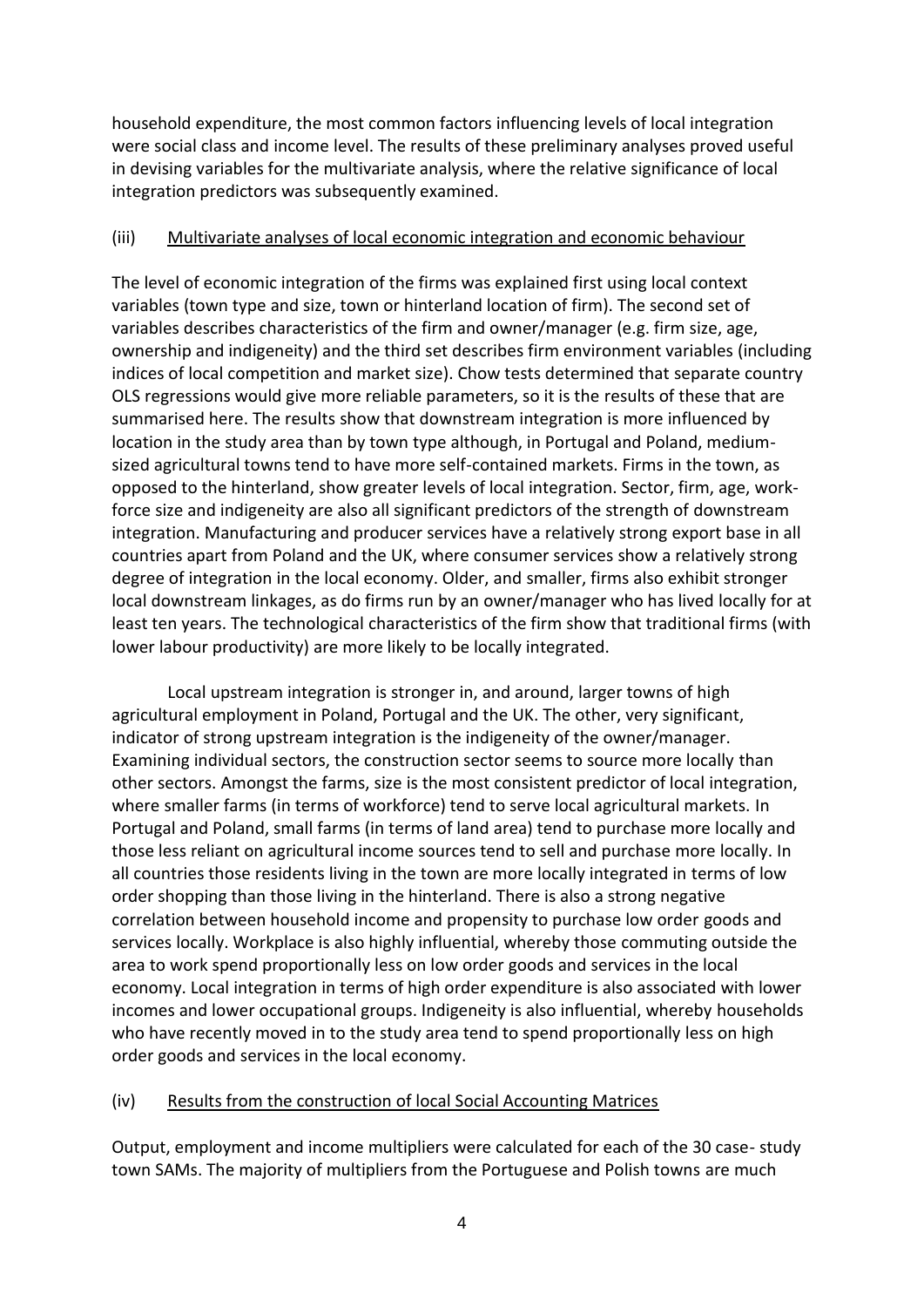household expenditure, the most common factors influencing levels of local integration were social class and income level. The results of these preliminary analyses proved useful in devising variables for the multivariate analysis, where the relative significance of local integration predictors was subsequently examined.

# (iii) Multivariate analyses of local economic integration and economic behaviour

The level of economic integration of the firms was explained first using local context variables (town type and size, town or hinterland location of firm). The second set of variables describes characteristics of the firm and owner/manager (e.g. firm size, age, ownership and indigeneity) and the third set describes firm environment variables (including indices of local competition and market size). Chow tests determined that separate country OLS regressions would give more reliable parameters, so it is the results of these that are summarised here. The results show that downstream integration is more influenced by location in the study area than by town type although, in Portugal and Poland, mediumsized agricultural towns tend to have more self-contained markets. Firms in the town, as opposed to the hinterland, show greater levels of local integration. Sector, firm, age, workforce size and indigeneity are also all significant predictors of the strength of downstream integration. Manufacturing and producer services have a relatively strong export base in all countries apart from Poland and the UK, where consumer services show a relatively strong degree of integration in the local economy. Older, and smaller, firms also exhibit stronger local downstream linkages, as do firms run by an owner/manager who has lived locally for at least ten years. The technological characteristics of the firm show that traditional firms (with lower labour productivity) are more likely to be locally integrated.

Local upstream integration is stronger in, and around, larger towns of high agricultural employment in Poland, Portugal and the UK. The other, very significant, indicator of strong upstream integration is the indigeneity of the owner/manager. Examining individual sectors, the construction sector seems to source more locally than other sectors. Amongst the farms, size is the most consistent predictor of local integration, where smaller farms (in terms of workforce) tend to serve local agricultural markets. In Portugal and Poland, small farms (in terms of land area) tend to purchase more locally and those less reliant on agricultural income sources tend to sell and purchase more locally. In all countries those residents living in the town are more locally integrated in terms of low order shopping than those living in the hinterland. There is also a strong negative correlation between household income and propensity to purchase low order goods and services locally. Workplace is also highly influential, whereby those commuting outside the area to work spend proportionally less on low order goods and services in the local economy. Local integration in terms of high order expenditure is also associated with lower incomes and lower occupational groups. Indigeneity is also influential, whereby households who have recently moved in to the study area tend to spend proportionally less on high order goods and services in the local economy.

# (iv) Results from the construction of local Social Accounting Matrices

Output, employment and income multipliers were calculated for each of the 30 case- study town SAMs. The majority of multipliers from the Portuguese and Polish towns are much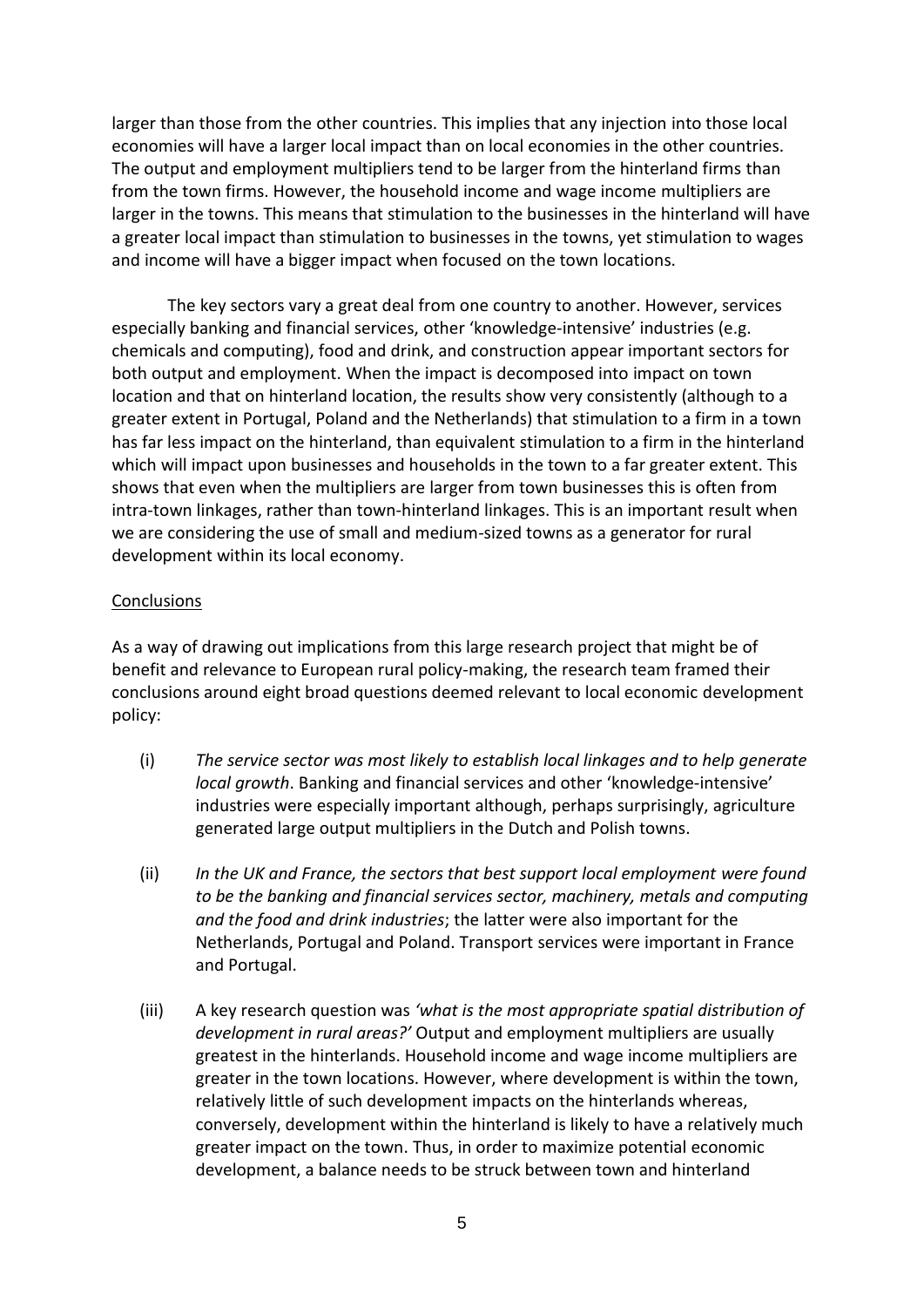larger than those from the other countries. This implies that any injection into those local economies will have a larger local impact than on local economies in the other countries. The output and employment multipliers tend to be larger from the hinterland firms than from the town firms. However, the household income and wage income multipliers are larger in the towns. This means that stimulation to the businesses in the hinterland will have a greater local impact than stimulation to businesses in the towns, yet stimulation to wages and income will have a bigger impact when focused on the town locations.

The key sectors vary a great deal from one country to another. However, services especially banking and financial services, other 'knowledge-intensive' industries (e.g. chemicals and computing), food and drink, and construction appear important sectors for both output and employment. When the impact is decomposed into impact on town location and that on hinterland location, the results show very consistently (although to a greater extent in Portugal, Poland and the Netherlands) that stimulation to a firm in a town has far less impact on the hinterland, than equivalent stimulation to a firm in the hinterland which will impact upon businesses and households in the town to a far greater extent. This shows that even when the multipliers are larger from town businesses this is often from intra-town linkages, rather than town-hinterland linkages. This is an important result when we are considering the use of small and medium-sized towns as a generator for rural development within its local economy.

## **Conclusions**

As a way of drawing out implications from this large research project that might be of benefit and relevance to European rural policy-making, the research team framed their conclusions around eight broad questions deemed relevant to local economic development policy:

- (i) *The service sector was most likely to establish local linkages and to help generate local growth*. Banking and financial services and other 'knowledge-intensive' industries were especially important although, perhaps surprisingly, agriculture generated large output multipliers in the Dutch and Polish towns.
- (ii) *In the UK and France, the sectors that best support local employment were found to be the banking and financial services sector, machinery, metals and computing and the food and drink industries*; the latter were also important for the Netherlands, Portugal and Poland. Transport services were important in France and Portugal.
- (iii) A key research question was *'what is the most appropriate spatial distribution of development in rural areas?'* Output and employment multipliers are usually greatest in the hinterlands. Household income and wage income multipliers are greater in the town locations. However, where development is within the town, relatively little of such development impacts on the hinterlands whereas, conversely, development within the hinterland is likely to have a relatively much greater impact on the town. Thus, in order to maximize potential economic development, a balance needs to be struck between town and hinterland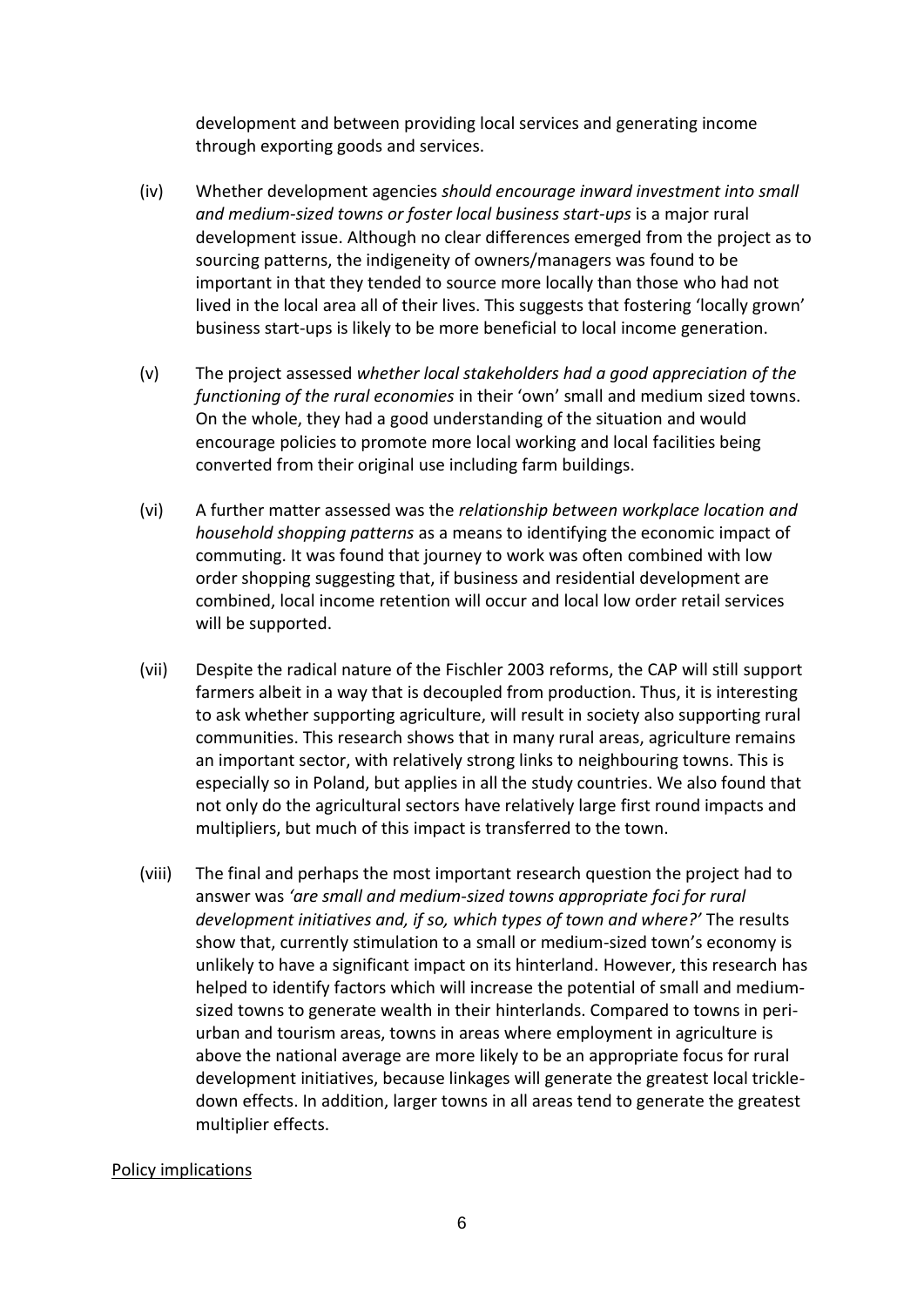development and between providing local services and generating income through exporting goods and services.

- (iv) Whether development agencies *should encourage inward investment into small and medium-sized towns or foster local business start-ups* is a major rural development issue. Although no clear differences emerged from the project as to sourcing patterns, the indigeneity of owners/managers was found to be important in that they tended to source more locally than those who had not lived in the local area all of their lives. This suggests that fostering 'locally grown' business start-ups is likely to be more beneficial to local income generation.
- (v) The project assessed *whether local stakeholders had a good appreciation of the functioning of the rural economies* in their 'own' small and medium sized towns. On the whole, they had a good understanding of the situation and would encourage policies to promote more local working and local facilities being converted from their original use including farm buildings.
- (vi) A further matter assessed was the *relationship between workplace location and household shopping patterns* as a means to identifying the economic impact of commuting. It was found that journey to work was often combined with low order shopping suggesting that, if business and residential development are combined, local income retention will occur and local low order retail services will be supported.
- (vii) Despite the radical nature of the Fischler 2003 reforms, the CAP will still support farmers albeit in a way that is decoupled from production. Thus, it is interesting to ask whether supporting agriculture, will result in society also supporting rural communities. This research shows that in many rural areas, agriculture remains an important sector, with relatively strong links to neighbouring towns. This is especially so in Poland, but applies in all the study countries. We also found that not only do the agricultural sectors have relatively large first round impacts and multipliers, but much of this impact is transferred to the town.
- (viii) The final and perhaps the most important research question the project had to answer was *'are small and medium-sized towns appropriate foci for rural development initiatives and, if so, which types of town and where?'* The results show that, currently stimulation to a small or medium-sized town's economy is unlikely to have a significant impact on its hinterland. However, this research has helped to identify factors which will increase the potential of small and mediumsized towns to generate wealth in their hinterlands. Compared to towns in periurban and tourism areas, towns in areas where employment in agriculture is above the national average are more likely to be an appropriate focus for rural development initiatives, because linkages will generate the greatest local trickledown effects. In addition, larger towns in all areas tend to generate the greatest multiplier effects.

### Policy implications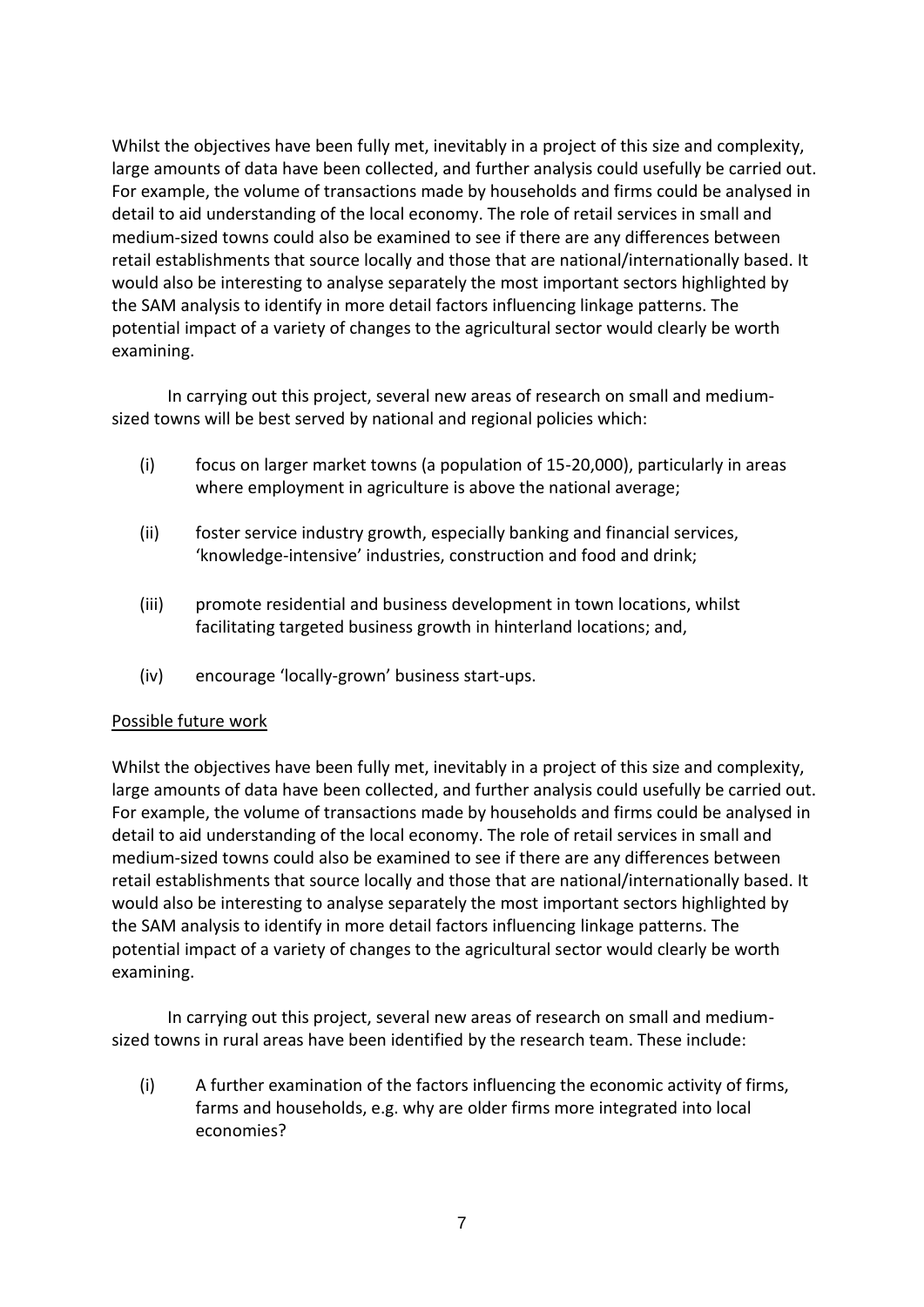Whilst the objectives have been fully met, inevitably in a project of this size and complexity, large amounts of data have been collected, and further analysis could usefully be carried out. For example, the volume of transactions made by households and firms could be analysed in detail to aid understanding of the local economy. The role of retail services in small and medium-sized towns could also be examined to see if there are any differences between retail establishments that source locally and those that are national/internationally based. It would also be interesting to analyse separately the most important sectors highlighted by the SAM analysis to identify in more detail factors influencing linkage patterns. The potential impact of a variety of changes to the agricultural sector would clearly be worth examining.

In carrying out this project, several new areas of research on small and mediumsized towns will be best served by national and regional policies which:

- (i) focus on larger market towns (a population of 15-20,000), particularly in areas where employment in agriculture is above the national average;
- (ii) foster service industry growth, especially banking and financial services, 'knowledge-intensive' industries, construction and food and drink;
- (iii) promote residential and business development in town locations, whilst facilitating targeted business growth in hinterland locations; and,
- (iv) encourage 'locally-grown' business start-ups.

### Possible future work

Whilst the objectives have been fully met, inevitably in a project of this size and complexity, large amounts of data have been collected, and further analysis could usefully be carried out. For example, the volume of transactions made by households and firms could be analysed in detail to aid understanding of the local economy. The role of retail services in small and medium-sized towns could also be examined to see if there are any differences between retail establishments that source locally and those that are national/internationally based. It would also be interesting to analyse separately the most important sectors highlighted by the SAM analysis to identify in more detail factors influencing linkage patterns. The potential impact of a variety of changes to the agricultural sector would clearly be worth examining.

In carrying out this project, several new areas of research on small and mediumsized towns in rural areas have been identified by the research team. These include:

(i) A further examination of the factors influencing the economic activity of firms, farms and households, e.g. why are older firms more integrated into local economies?